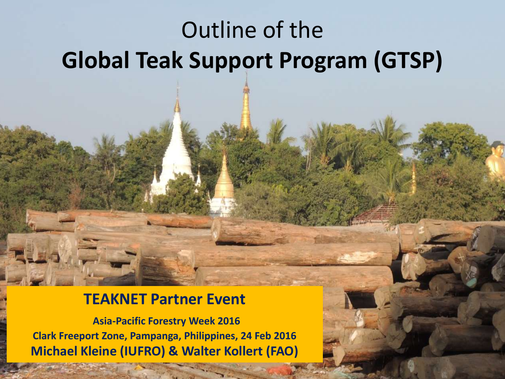# Outline of the **Global Teak Support Program (GTSP)**

#### **TEAKNET Partner Event**

**Asia-Pacific Forestry Week 2016 Clark Freeport Zone, Pampanga, Philippines, 24 Feb 2016 Michael Kleine (IUFRO) & Walter Kollert (FAO)**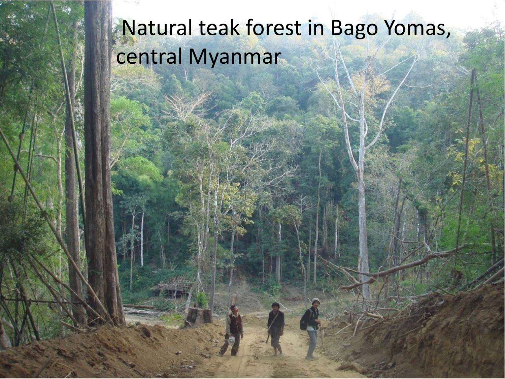# Natural teak forest in Bago Yomas, central Myanmar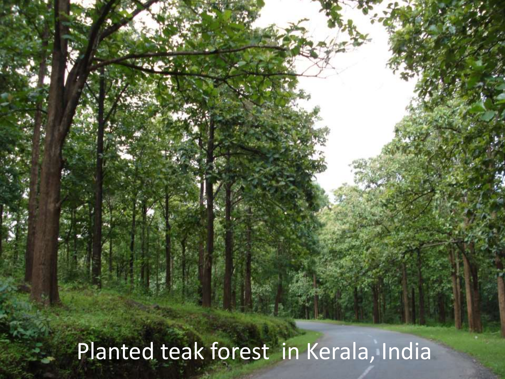Planted teak forest in Kerala, India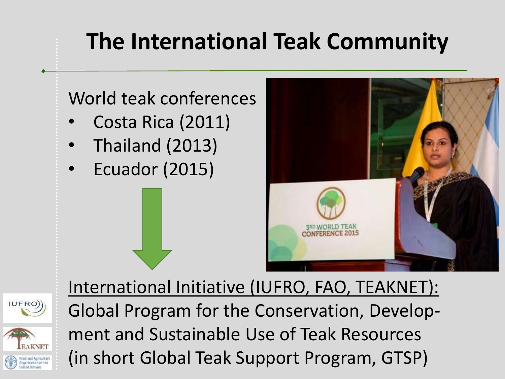# **The International Teak Community**





International Initiative (IUFRO, FAO, TEAKNET): Global Program for the Conservation, Development and Sustainable Use of Teak Resources (in short Global Teak Support Program, GTSP)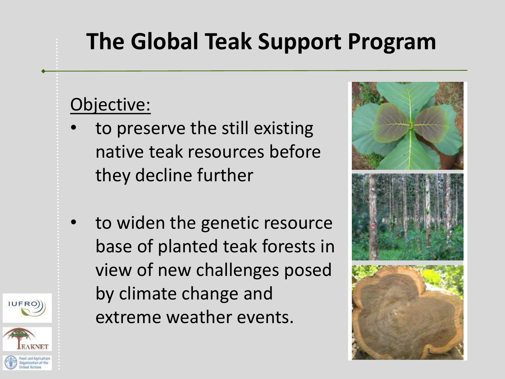## **The Global Teak Support Program**

#### Objective:

- to preserve the still existing native teak resources before they decline further
- to widen the genetic resource base of planted teak forests in view of new challenges posed by climate change and extreme weather events.



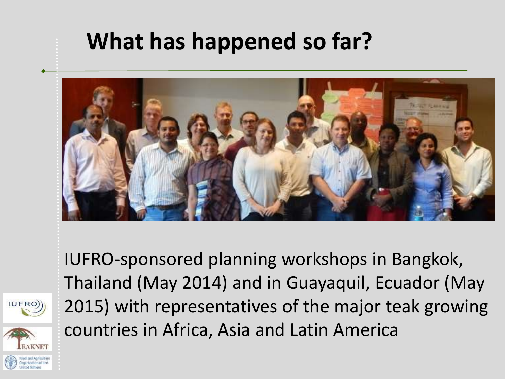#### **What has happened so far?**



IUFRO-sponsored planning workshops in Bangkok, Thailand (May 2014) and in Guayaquil, Ecuador (May 2015) with representatives of the major teak growing countries in Africa, Asia and Latin America

**IUFRO**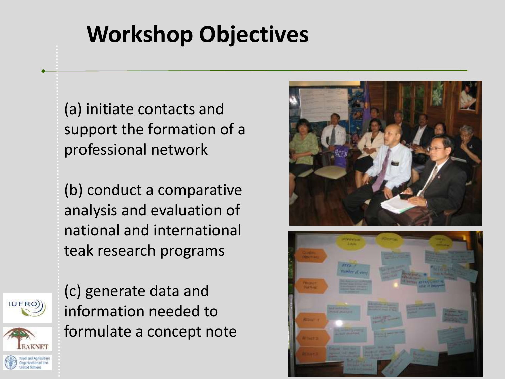# **Workshop Objectives**

(a) initiate contacts and support the formation of a professional network

(b) conduct a comparative analysis and evaluation of national and international teak research programs

(c) generate data and information needed to formulate a concept note

IUFRO)



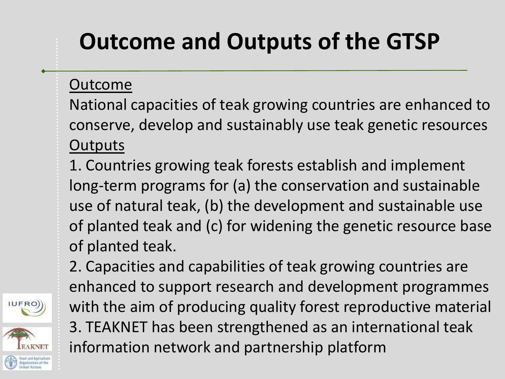# **Outcome and Outputs of the GTSP**

Outcome

**IUFRO** 

National capacities of teak growing countries are enhanced to conserve, develop and sustainably use teak genetic resources **Outputs** 

1. Countries growing teak forests establish and implement long-term programs for (a) the conservation and sustainable use of natural teak, (b) the development and sustainable use of planted teak and (c) for widening the genetic resource base of planted teak.

2. Capacities and capabilities of teak growing countries are enhanced to support research and development programmes with the aim of producing quality forest reproductive material 3. TEAKNET has been strengthened as an international teak information network and partnership platform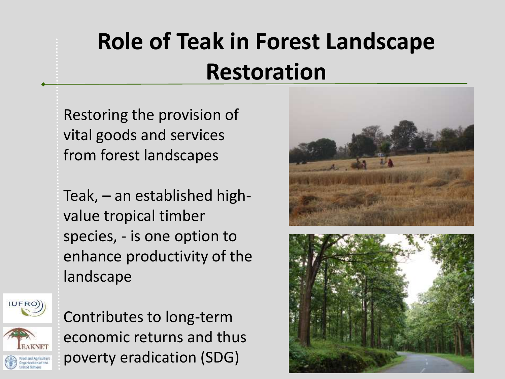# **Role of Teak in Forest Landscape Restoration**

Restoring the provision of vital goods and services from forest landscapes

Teak, – an established highvalue tropical timber species, - is one option to enhance productivity of the landscape



Contributes to long-term economic returns and thus poverty eradication (SDG)



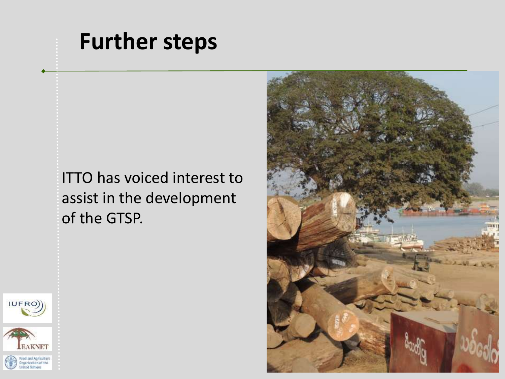#### **Further steps**

ITTO has voiced interest to assist in the development of the GTSP.